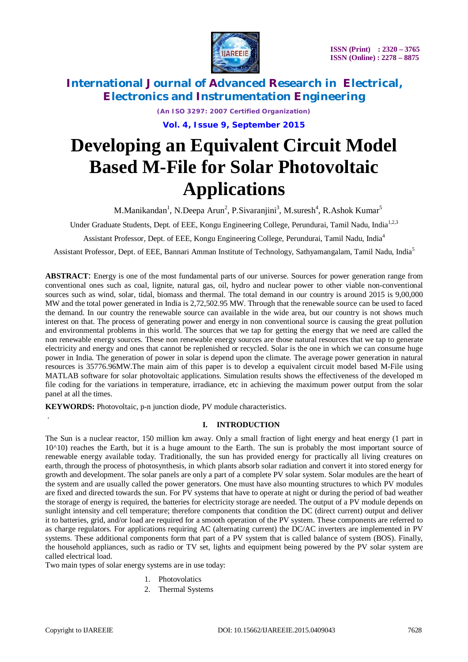

> *(An ISO 3297: 2007 Certified Organization)* **Vol. 4, Issue 9, September 2015**

## **Developing an Equivalent Circuit Model Based M-File for Solar Photovoltaic Applications**

M.Manikandan<sup>1</sup>, N.Deepa Arun<sup>2</sup>, P.Sivaranjini<sup>3</sup>, M.suresh<sup>4</sup>, R.Ashok Kumar<sup>5</sup>

Under Graduate Students, Dept. of EEE, Kongu Engineering College, Perundurai, Tamil Nadu, India<sup>1,2,3</sup>

Assistant Professor, Dept. of EEE, Kongu Engineering College, Perundurai, Tamil Nadu, India<sup>4</sup>

Assistant Professor, Dept. of EEE, Bannari Amman Institute of Technology, Sathyamangalam, Tamil Nadu, India<sup>5</sup>

**ABSTRACT**: Energy is one of the most fundamental parts of our universe. Sources for power generation range from conventional ones such as coal, lignite, natural gas, oil, hydro and nuclear power to other viable non-conventional sources such as wind, solar, tidal, biomass and thermal. The total demand in our country is around 2015 is 9,00,000 MW and the total power generated in India is 2,72,502.95 MW. Through that the renewable source can be used to faced the demand. In our country the renewable source can available in the wide area, but our country is not shows much interest on that. The process of generating power and energy in non conventional source is causing the great pollution and environmental problems in this world. The sources that we tap for getting the energy that we need are called the non renewable energy sources. These non renewable energy sources are those natural resources that we tap to generate electricity and energy and ones that cannot be replenished or recycled. Solar is the one in which we can consume huge power in India. The generation of power in solar is depend upon the climate. The average power generation in natural resources is 35776.96MW.The main aim of this paper is to develop a equivalent circuit model based M-File using MATLAB software for solar photovoltaic applications. Simulation results shows the effectiveness of the developed m file coding for the variations in temperature, irradiance, etc in achieving the maximum power output from the solar panel at all the times.

**KEYWORDS:** Photovoltaic, p-n junction diode, PV module characteristics.

#### **I. INTRODUCTION**

The Sun is a nuclear reactor, 150 million km away. Only a small fraction of light energy and heat energy (1 part in  $10^{\wedge}10$ ) reaches the Earth, but it is a huge amount to the Earth. The sun is probably the most important source of renewable energy available today. Traditionally, the sun has provided energy for practically all living creatures on earth, through the process of photosynthesis, in which plants absorb solar radiation and convert it into stored energy for growth and development. The solar panels are only a part of a complete PV solar system. Solar modules are the heart of the system and are usually called the power generators. One must have also mounting structures to which PV modules are fixed and directed towards the sun. For PV systems that have to operate at night or during the period of bad weather the storage of energy is required, the batteries for electricity storage are needed. The output of a PV module depends on sunlight intensity and cell temperature; therefore components that condition the DC (direct current) output and deliver it to batteries, grid, and/or load are required for a smooth operation of the PV system. These components are referred to as charge regulators. For applications requiring AC (alternating current) the DC/AC inverters are implemented in PV systems. These additional components form that part of a PV system that is called balance of system (BOS). Finally, the household appliances, such as radio or TV set, lights and equipment being powered by the PV solar system are called electrical load.

Two main types of solar energy systems are in use today:

- 1. Photovolatics
- 2. Thermal Systems

.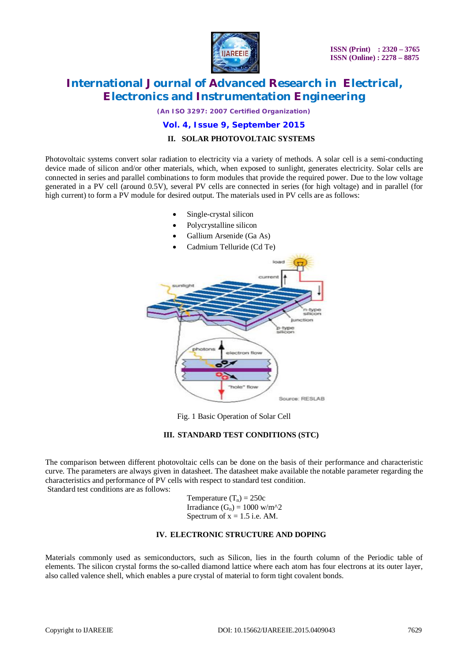

*(An ISO 3297: 2007 Certified Organization)*

#### **Vol. 4, Issue 9, September 2015 II. SOLAR PHOTOVOLTAIC SYSTEMS**

# Photovoltaic systems convert solar radiation to electricity via a variety of methods. A solar cell is a semi-conducting

device made of silicon and/or other materials, which, when exposed to sunlight, generates electricity. Solar cells are connected in series and parallel combinations to form modules that provide the required power. Due to the low voltage generated in a PV cell (around 0.5V), several PV cells are connected in series (for high voltage) and in parallel (for high current) to form a PV module for desired output. The materials used in PV cells are as follows:

- Single-crystal silicon
- Polycrystalline silicon
- Gallium Arsenide (Ga As)
- Cadmium Telluride (Cd Te)





#### **III. STANDARD TEST CONDITIONS (STC)**

The comparison between different photovoltaic cells can be done on the basis of their performance and characteristic curve. The parameters are always given in datasheet. The datasheet make available the notable parameter regarding the characteristics and performance of PV cells with respect to standard test condition. Standard test conditions are as follows:

> Temperature  $(T_n) = 250c$ Irradiance  $(G_n) = 1000$  w/m<sup> $\text{2}$ </sup> Spectrum of  $x = 1.5$  i.e. AM.

#### **IV. ELECTRONIC STRUCTURE AND DOPING**

Materials commonly used as semiconductors, such as Silicon, lies in the fourth column of the Periodic table of elements. The silicon crystal forms the so-called diamond lattice where each atom has four electrons at its outer layer, also called valence shell, which enables a pure crystal of material to form tight covalent bonds.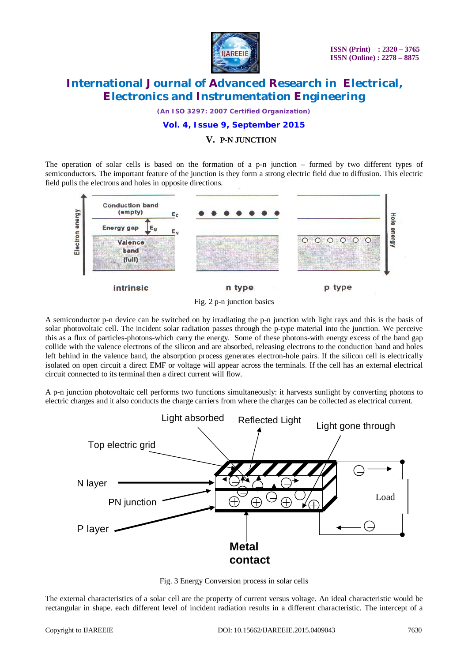

*(An ISO 3297: 2007 Certified Organization)*

#### **Vol. 4, Issue 9, September 2015**

#### **V. P-N JUNCTION**

The operation of solar cells is based on the formation of a p-n junction – formed by two different types of semiconductors. The important feature of the junction is they form a strong electric field due to diffusion. This electric field pulls the electrons and holes in opposite directions.



Fig. 2 p-n junction basics

A semiconductor p-n device can be switched on by irradiating the p-n junction with light rays and this is the basis of solar photovoltaic cell. The incident solar radiation passes through the p-type material into the junction. We perceive this as a flux of particles-photons-which carry the energy. Some of these photons-with energy excess of the band gap collide with the valence electrons of the silicon and are absorbed, releasing electrons to the conduction band and holes left behind in the valence band, the absorption process generates electron-hole pairs. If the silicon cell is electrically isolated on open circuit a direct EMF or voltage will appear across the terminals. If the cell has an external electrical circuit connected to its terminal then a direct current will flow.

A p-n junction photovoltaic cell performs two functions simultaneously: it harvests sunlight by converting photons to electric charges and it also conducts the charge carriers from where the charges can be collected as electrical current.





The external characteristics of a solar cell are the property of current versus voltage. An ideal characteristic would be rectangular in shape. each different level of incident radiation results in a different characteristic. The intercept of a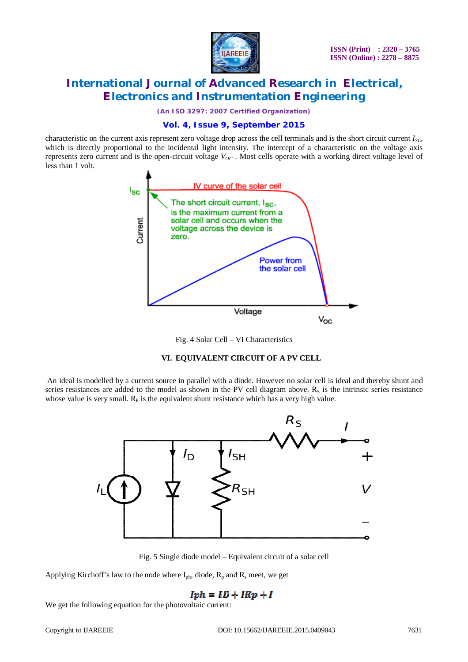

*(An ISO 3297: 2007 Certified Organization)*

#### **Vol. 4, Issue 9, September 2015**

characteristic on the current axis represent zero voltage drop across the cell terminals and is the short circuit current *ISC*, which is directly proportional to the incidental light intensity. The intercept of a characteristic on the voltage axis represents zero current and is the open-circuit voltage  $V_{OC}$ . Most cells operate with a working direct voltage level of less than 1 volt.





#### **VI. EQUIVALENT CIRCUIT OF A PV CELL**

An ideal is modelled by a current source in parallel with a diode. However no solar cell is ideal and thereby shunt and series resistances are added to the model as shown in the PV cell diagram above.  $R<sub>S</sub>$  is the intrinsic series resistance whose value is very small.  $R<sub>P</sub>$  is the equivalent shunt resistance which has a very high value.



Fig. 5 Single diode model – Equivalent circuit of a solar cell

Applying Kirchoff's law to the node where  $I_{ph}$ , diode,  $R_p$  and  $R_s$  meet, we get

### $Iph = ID + IRp + I$

We get the following equation for the photovoltaic current: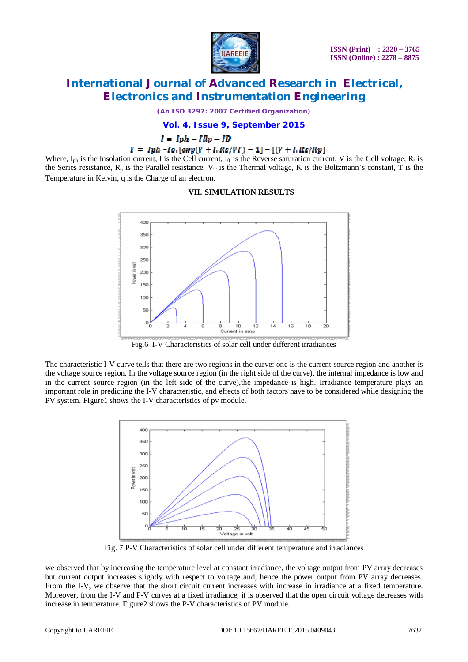

*(An ISO 3297: 2007 Certified Organization)*

**Vol. 4, Issue 9, September 2015**

 $I = Iph - IRp - ID$ 

#### $I = Iph - Io. [exp(V + I. Rs/VT) - 1] - [(V + I. Rs/Rp)]$

Where,  $I_{ph}$  is the Insolation current, I is the Cell current,  $I_0$  is the Reverse saturation current, V is the Cell voltage,  $R_s$  is the Series resistance,  $R_p$  is the Parallel resistance,  $V_T$  is the Thermal voltage, K is the Boltzmann's constant, T is the Temperature in Kelvin, q is the Charge of an electron.

#### **VII. SIMULATION RESULTS**



Fig.6 I-V Characteristics of solar cell under different irradiances

The characteristic I-V curve tells that there are two regions in the curve: one is the current source region and another is the voltage source region. In the voltage source region (in the right side of the curve), the internal impedance is low and in the current source region (in the left side of the curve),the impedance is high. Irradiance temperature plays an important role in predicting the I-V characteristic, and effects of both factors have to be considered while designing the PV system. Figure1 shows the I-V characteristics of pv module.



Fig. 7 P-V Characteristics of solar cell under different temperature and irradiances

we observed that by increasing the temperature level at constant irradiance, the voltage output from PV array decreases but current output increases slightly with respect to voltage and, hence the power output from PV array decreases. From the I-V, we observe that the short circuit current increases with increase in irradiance at a fixed temperature. Moreover, from the I-V and P-V curves at a fixed irradiance, it is observed that the open circuit voltage decreases with increase in temperature. Figure2 shows the P-V characteristics of PV module.